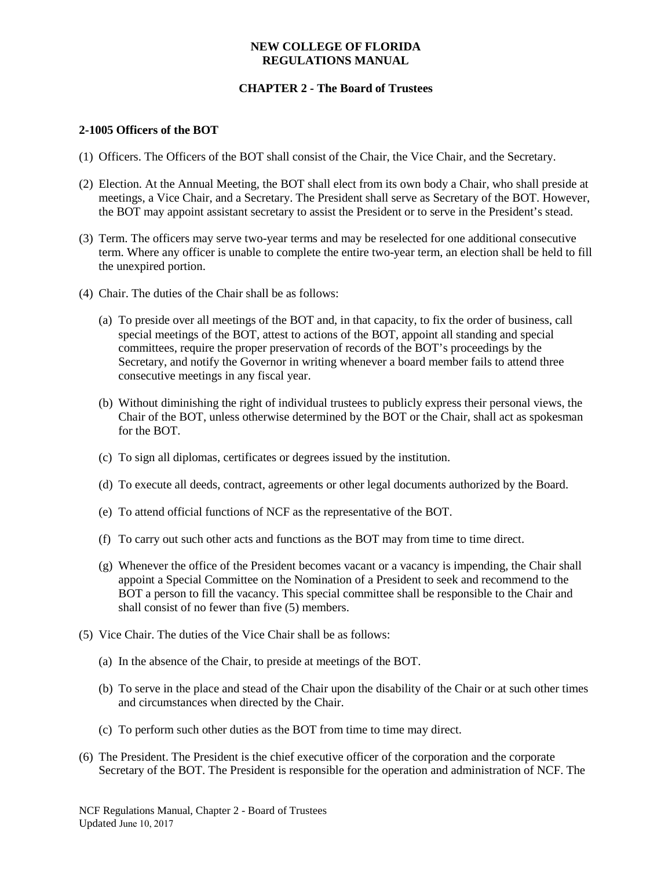### **NEW COLLEGE OF FLORIDA REGULATIONS MANUAL**

# **CHAPTER 2 - The Board of Trustees**

### **2-1005 Officers of the BOT**

- (1) Officers. The Officers of the BOT shall consist of the Chair, the Vice Chair, and the Secretary.
- (2) Election. At the Annual Meeting, the BOT shall elect from its own body a Chair, who shall preside at meetings, a Vice Chair, and a Secretary. The President shall serve as Secretary of the BOT. However, the BOT may appoint assistant secretary to assist the President or to serve in the President's stead.
- (3) Term. The officers may serve two-year terms and may be reselected for one additional consecutive term. Where any officer is unable to complete the entire two-year term, an election shall be held to fill the unexpired portion.
- (4) Chair. The duties of the Chair shall be as follows:
	- (a) To preside over all meetings of the BOT and, in that capacity, to fix the order of business, call special meetings of the BOT, attest to actions of the BOT, appoint all standing and special committees, require the proper preservation of records of the BOT's proceedings by the Secretary, and notify the Governor in writing whenever a board member fails to attend three consecutive meetings in any fiscal year.
	- (b) Without diminishing the right of individual trustees to publicly express their personal views, the Chair of the BOT, unless otherwise determined by the BOT or the Chair, shall act as spokesman for the BOT.
	- (c) To sign all diplomas, certificates or degrees issued by the institution.
	- (d) To execute all deeds, contract, agreements or other legal documents authorized by the Board.
	- (e) To attend official functions of NCF as the representative of the BOT.
	- (f) To carry out such other acts and functions as the BOT may from time to time direct.
	- (g) Whenever the office of the President becomes vacant or a vacancy is impending, the Chair shall appoint a Special Committee on the Nomination of a President to seek and recommend to the BOT a person to fill the vacancy. This special committee shall be responsible to the Chair and shall consist of no fewer than five (5) members.
- (5) Vice Chair. The duties of the Vice Chair shall be as follows:
	- (a) In the absence of the Chair, to preside at meetings of the BOT.
	- (b) To serve in the place and stead of the Chair upon the disability of the Chair or at such other times and circumstances when directed by the Chair.
	- (c) To perform such other duties as the BOT from time to time may direct.
- (6) The President. The President is the chief executive officer of the corporation and the corporate Secretary of the BOT. The President is responsible for the operation and administration of NCF. The